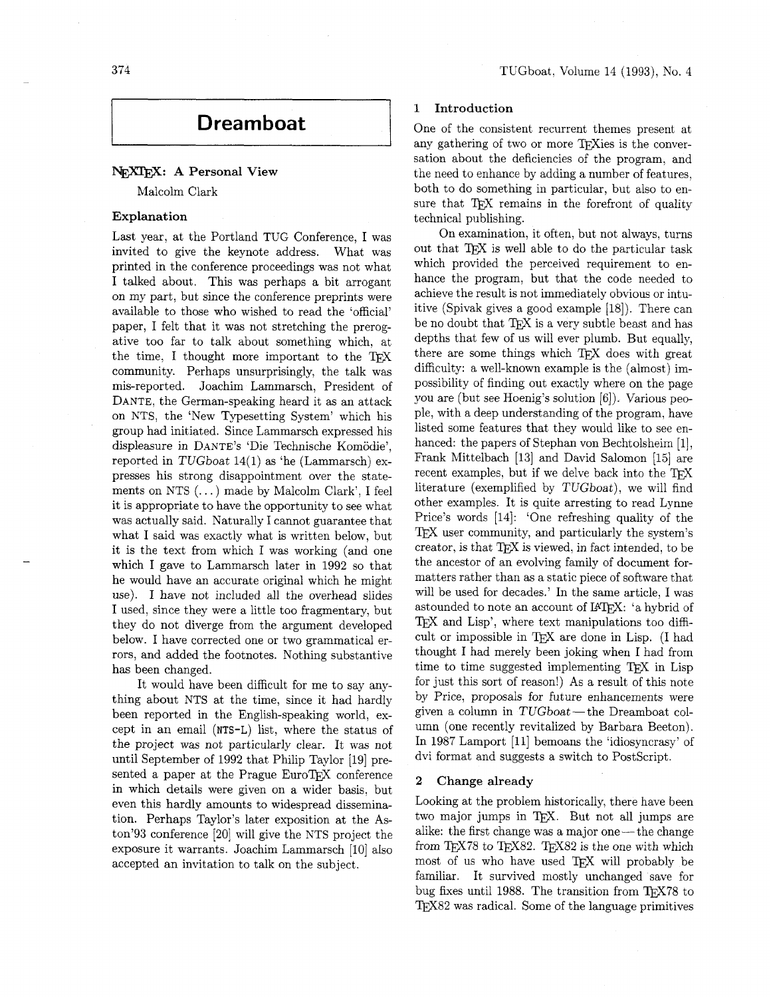# **Dreamboat**

# NEXTEX: A Personal View

Malcolm Clark

# **Explanat ion**

Last year, at the Portland TUG Conference, I was invited to give the keynote address. What was printed in the conference proceedings was not what I talked about. This was perhaps a bit arrogant on my part, but since the conference preprints were available to those who wished to read the 'official' paper, I felt that it was not stretching the prerogative too far to talk about something which, at the time, I thought more important to the TFX community. Perhaps unsurprisingly, the talk was mis-reported. Joachim Lammarsch, President of DANTE, the German-speaking heard it as an attack on NTS, the 'New Typesetting System' which his group had initiated. Since Lammarsch expressed his displeasure in DANTE'S 'Die Technische Komodie', reported in TUGboat 14(1) as 'he (Lammarsch) expresses his strong disappointment over the statements on NTS (. . . ) made by Malcolm Clark', I feel it is appropriate to have the opportunity to see what was actually said. Naturally I cannot guarantee that what I said was exactly what is written below, but it is the text from which I was working (and one which I gave to Lammarsch later in 1992 so that he would have an accurate original which he might use). I have not included all the overhead slides I used, since they were a little too fragmentary, but they do not diverge from the argument developed below. I have corrected one or two grammatical errors, and added the footnotes. Nothing substantive has been changed.

It would have been difficult for me to say anything about NTS at the time, since it had hardly been reported in the English-speaking world, except in an email **(NTS-L)** list, where the status of the project was not particularly clear. It was not until September of 1992 that Philip Taylor [19] presented a paper at the Prague EuroT<sub>F</sub>X conference in which details were given on a wider basis, but even this hardly amounts to widespread dissemination. Perhaps Taylor's later exposition at the Aston'93 conference [20] will give the NTS project the exposure it warrants. Joachim Lammarsch [10] also accepted an invitation to talk on the subject.

# **1 Introduction**

One of the consistent recurrent themes present at any gathering of two or more TEXies is the conversation about the deficiencies of the program, and the need to enhance by adding a number of features, both to do something in particular, but also to ensure that TFX remains in the forefront of quality technical publishing.

On examination, it often, but not always, turns out that TEX is well able to do the particular task which provided the perceived requirement to enhance the program, but that the code needed to achieve the result is not immediately obvious or intuitive (Spivak gives a good example  $[18]$ ). There can be no doubt that TEX is a very subtle beast and has depths that few of us will ever plumb. But equally, there are some things which TEX does with great difficulty: a well-known example is the (almost) impossibility of finding out exactly where on the page you are (but see Hoenig's solution [6]). Various people, with a deep understanding of the program, have listed some features that they would like to see enhanced: the papers of Stephan von Bechtolsheim [I], Frank Mittelbach [13] and David Salomon [15] are recent examples, but if we delve back into the TFX literature (exemplified by TUGboat), we will find other examples. It is quite arresting to read Lynne Price's words [14]: 'One refreshing quality of the TEX user community, and particularly the system's creator, is that TFX is viewed, in fact intended, to be the ancestor of an evolving family of document formatters rather than as a static piece of software that will be used for decades.' In the same article, I was astounded to note an account of LAT<sub>F</sub>X: 'a hybrid of TEX and Lisp', where text manipulations too difficult or impossible in TFX are done in Lisp. (I had thought I had merely been joking when I had from time to time suggested implementing TFX in Lisp for just this sort of reason!) As a result of this note by Price, proposals for future enhancements were for just this sort of reason!) As a result of this note<br>by Price, proposals for future enhancements were<br>given a column in TUGboat—the Dreamboat col-<br> $\frac{1}{2}$ umn (one recently revitalized by Barbara Beeton). In 1987 Lamport [ll] bemoans the 'idiosyncrasy' of dvi format and suggests a switch to PostScript.

#### **2 Change already**

Looking at the problem historically, there have been two major jumps in TEX. But not all jumps are alike: the first change was a major one—the change from  $T_{E}X78$  to  $T_{E}X82$ .  $T_{E}X82$  is the one with which most of us who have used TFX will probably be familiar. It survived mostly unchanged save for bug fixes until 1988. The transition from  $T_F X 78$  to TEX82 was radical. Some of the language primitives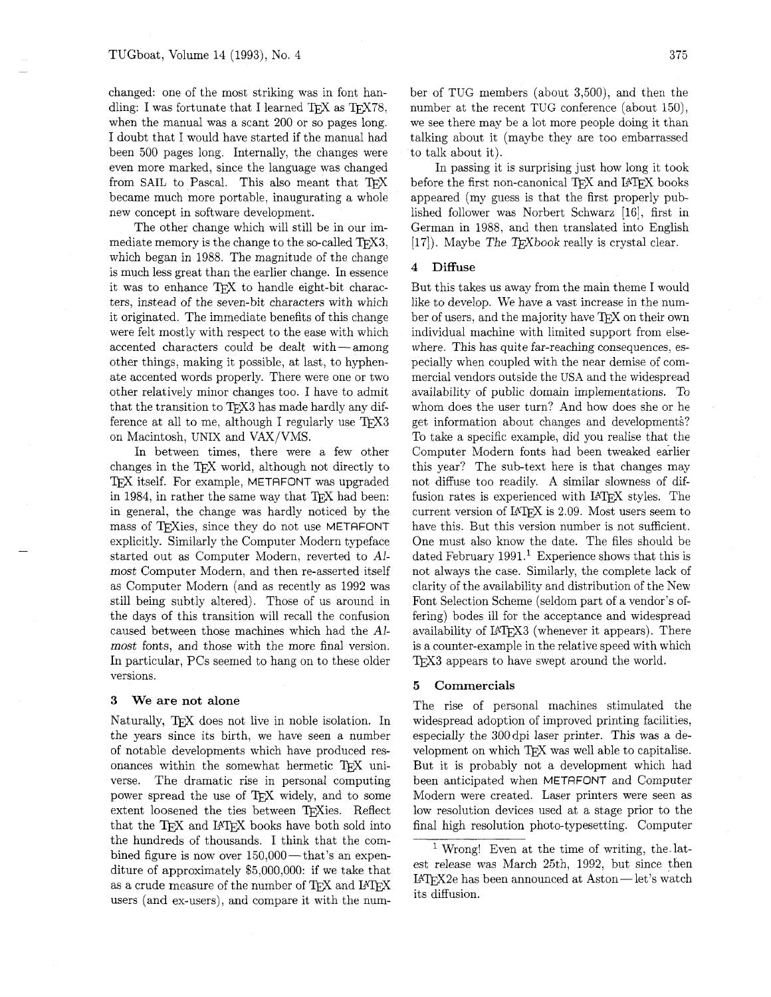changed: one of the most striking was in font handling: I was fortunate that I learned TFX as TFX78. when the manual was a scant 200 or so pages long. I doubt that I would have started if the manual had been 500 pages long. Internally, the changes were even more marked, since the language was changed from SAIL to Pascal. This also meant that TFX became much more portable, inaugurating a whole new concept in software development.

The other change which will still be in our immediate memory is the change to the so-called  $T_F X3$ , which began in 1988. The magnitude of the change is much less great than the earlier change. In essence it was to enhance TFX to handle eight-bit characters, instead of the seven-bit characters with which it originated. The immediate benefits of this change were felt mostly with respect to the ease with which accented characters could be dealt with - among other things, making it possible, at last, to hyphenate accented words properly. There were one or two other relatively minor changes too. I have to admit that the transition to TFX3 has made hardly any difference at all to me, although I regularly use  $T_F X3$ on Macintosh, UNIX and VAX/VMS.

In between times, there were a few other In between times, there were a few other<br>changes in the T<sub>E</sub>X world, although not directly to changes in the TEX world, although not directly to<br>TEX itself. For example, METAFONT was upgraded in 1984, in rather the same way that TFX had been: in general, the change was hardly noticed by the mass of TFXies, since they do not use METAFONT explicitly. Similarly the Computer Modern typeface started out as Computer Modern, reverted to Almost Computer Modern, and then re-asserted itself as Computer Modern (and as recently as 1992 was still being subtly altered). Those of us around in the days of this transition will recall the confusion caused between those machines which had the Almost fonts, and those with the more final version. In particular, PCs seemed to hang on to these older versions.

#### **3 We are not alone**

Naturally, TFX does not live in noble isolation. In the years since its birth, we have seen a number of notable developments which have produced resonances within the somewhat hermetic  $T_{\rm EX}$  uni-<br>verse. The dramatic rise in personal computing The dramatic rise in personal computing power spread the use of TEX widely, and to some extent loosened the ties between TFXies. Reflect that the TFX and IATFX books have both sold into the hundreds of thousands. I think that the combined figure is now over  $150,000$  — that's an expenditure of approximately \$5,000,000: if we take that as a crude measure of the number of TEX and IATEX users (and ex-users), and compare it with the number of TUG members (about 3,500), and then the number at the recent TUG conference (about 150), we see there may be a lot more people doing it than talking about it (maybe they are too embarrassed to talk about it).

In passing it is surprising just how long it took before the first non-canonical T<sub>F</sub>X and L<sup>AT</sup>FX books appeared (my guess is that the first properly published follower was Norbert Schwarz [16], first in German in 1988, and then translated into English  $[17]$ . Maybe The T<sub>F</sub>Xbook really is crystal clear.

# **4 Diffuse**

But this takes us away from the main theme I would like to develop. We have a vast increase in the number of users, and the majority have TFX on their own individual machine with limited support from elsewhere. This has quite far-reaching consequences, especially when coupled with the near demise of commercial vendors outside the USA and the widespread availability of public domain implementations. To whom does the user turn? And how does she or he get information about changes and developments? To take a specific example, did you realise that the Computer Modern fonts had been tweaked earlier this year? The sub-text here is that changes may not diffuse too readily. A similar slowness of diffusion rates is experienced with LATFX styles. The current version of  $IATFX$  is 2.09. Most users seem to have this. But this version number is not sufficient. One must also know the date. The files should be dated February 1991.' Experience shows that this is not always the case. Similarly, the complete lack of clarity of the availability and distribution of the New Font Selection Scheme (seldom part of a vendor's offering) bodes ill for the acceptance and widespread availability of  $LAT$  $EX3$  (whenever it appears). There is a counter-example in the relative speed with which T<sub>F</sub>X<sub>3</sub> appears to have swept around the world.

#### **5 Commercials**

The rise of personal machines stimulated the widespread adoption of improved printing facilities. especially the 300dpi laser printer. This was a development on which TFX was well able to capitalise. But it is probably not a development which had been anticipated when METRFONT and Computer Modern were created. Laser printers were seen as low resolution devices used at a stage prior to the final high resolution photo-typesetting. Computer

<sup>&</sup>lt;sup>1</sup> Wrong! Even at the time of writing, the latest release was March 25th, 1992, but since then  $IATFX2e$  has been announced at Aston-let's watch its diffusion.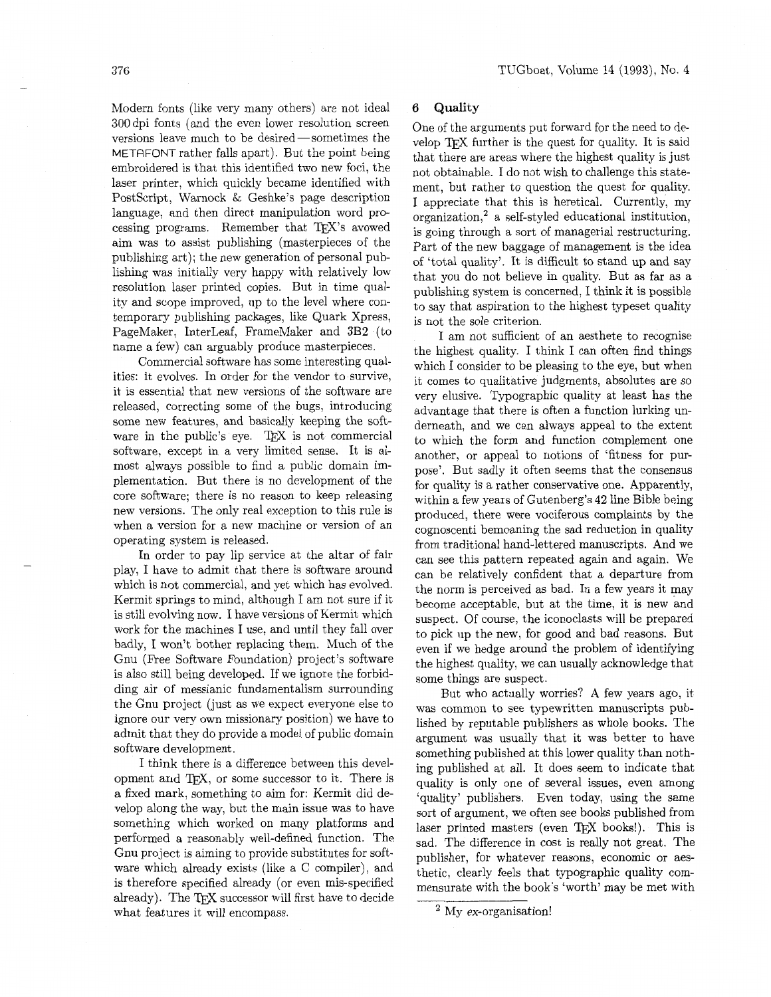Modern fonts (like very many others) are not ideal 300 dpi fonts (and the even lower resolution screen versions leave much to be desired—sometimes the METAFONT rather falls apart). But the point being embroidered is that this identified two new foci, the laser printer, which quickly became identified with PostScript, Warnock & Geshke's page description language, and then direct manipulation word processing programs. Remember that TEX's avowed aim was to assist publishing (masterpieces of the publishing art); the new generation of personal publishing was initially very happy with relatively low resolution laser printed copies. But in time quality and scope improved, up to the level where contemporary publishing packages, like Quark Xpress, PageMaker, InterLeaf, FrameMaker and 3B2 (to name a few) can arguably produce masterpieces.

Commercial software has some interesting qualities: it evolves. In order for the vendor to survive, it is essential that new versions of the software are released, correcting some of the bugs, introducing some new features, and basically keeping the software in the public's eye. TEX is not commercial software, except in a very limited sense. It is almost always possible to find a public domain implementation. But there is no development of the core software; there is no reason to keep releasing new versions. The only real exception to this rule is when a version for a new machine or version of an operating system is released.

In order to pay lip service at the altar of fair play, I have to admit that there is software around which is not commercial, and yet which has evolved. Kermit springs to mind, although I am not sure if it is still evolving now. I have versions of Kermit which work for the machines I use, and until they fall over badly, I won't bother replacing them. Much of the Gnu (Free Software Foundation) project's software is also still being developed. If we ignore the forbidding air of messianic fundamentalism surrounding the Gnu project (just as we expect everyone else to ignore our very own missionary position) we have to admit that they do provide a model of public domain software development.

I think there is a difference between this development and  $T_{F}X$ , or some successor to it. There is a fixed mark, something to aim for: Kermit did develop along the way, but the main issue was to have something which worked on many platforms and performed a reasonably well-defined function. The Gnu project is aiming to provide substitutes for software which already exists (like a C compiler), and is therefore specified already (or even mis-specified already). The TFX successor will first have to decide what features it will encompass.

## *6* **Quality**

One of the arguments put forward for the need to develop TFX further is the quest for quality. It is said that there are areas where the highest quality is just not obtainable. I do not wish to challenge this statement, but rather to question the quest for quality. I appreciate that this is heretical. Currently, my organization,' a self-styled educational institution, is going through a sort of managerial restructuring. Part of the new baggage of management is the idea of 'total quality'. It is difficult to stand up and say that you do not believe in quality. But as far as a publishing system is concerned, I think it is possible to say that aspiration to the highest typeset quality is not the sole criterion.

I am not sufficient of an aesthete to recognise the highest quality. I think I can often find things which I consider to be pleasing to the eye, but when it comes to qualitative judgments, absolutes are so very elusive. Typographic quality at least has the advantage that there is often a function lurking underneath, and we can always appeal to the extent to which the form and function complement one another, or appeal to notions of 'fitness for purpose'. But sadly it often seems that the consensus for quality is a rather conservative one. Apparently, within a few years of Gutenberg's 42 line Bible being produced, there were vociferous complaints by the cognoscenti bemoaning the sad reduction in quality from traditional hand-lettered manuscripts. And we can see this pattern repeated again and again. We can be relatively confident that a departure from the norm is perceived **as** bad. In a few years it may become acceptable, but at the time, it is new and suspect. Of course, the iconoclasts will be prepared to pick up the new, for good and bad reasons. But even if we hedge around the problem of identifying the highest quality, we can usually acknowledge that some things are suspect.

But who actually worries? A few years ago, it was common to see typewritten manuscripts published by reputable publishers as whole books. The argument **was** usually that it was better to have something published at this lower quality than nothing published at all. It does seem to indicate that quality is only one of several issues, even among 'quality' publishers. Even today, using the same sort of argument, we often see books published from laser printed masters (even TEX books!). This is sad. The difference in cost is really not great. The publisher, for whatever reasons, economic or aesthetic, clearly feels that typographic quality commensurate with the book's 'worth' may be met with

<sup>&#</sup>x27; My ex-organisation!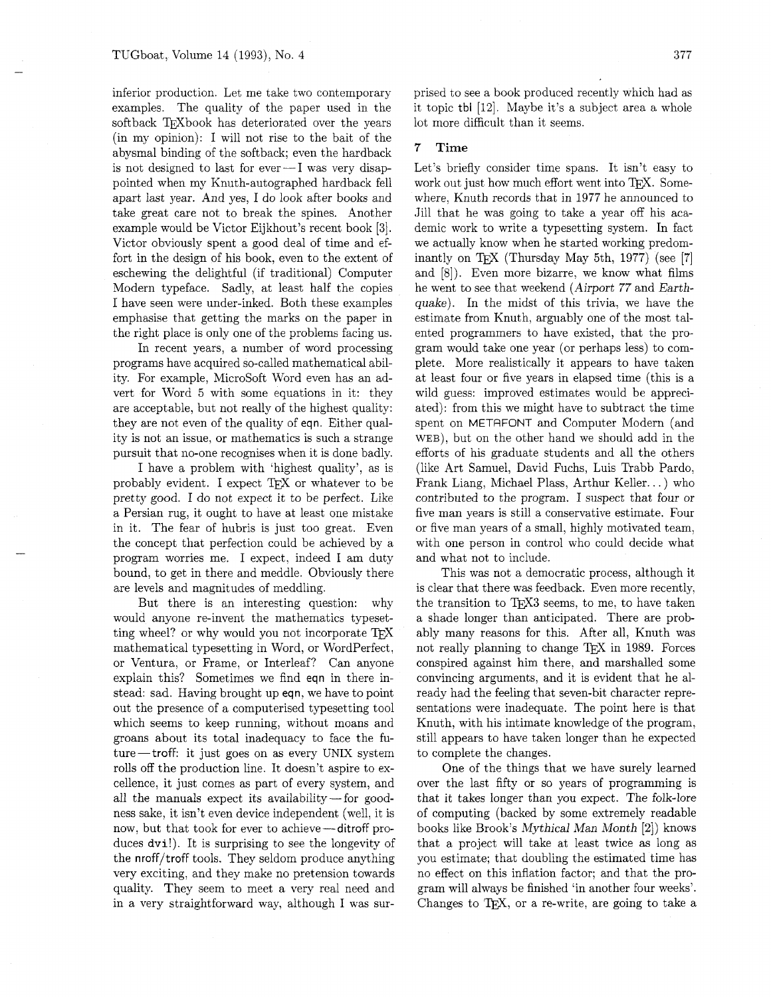inferior production. Let me take two contemporary examples. The quality of the paper used in the softback TFXbook has deteriorated over the years (in my opinion): I will not rise to the bait of the abysmal binding of the softback; even the hardback is not designed to last for ever $-I$  was very disappointed when my Knuth-autographed hardback fell apart last year. And yes, I do look after books and take great care not to break the spines. Another example would be Victor Eijkhout's recent book [3]. Victor obviously spent a good deal of time and effort in the design of his book, even to the extent of eschewing the delightful (if traditional) Computer Modern typeface. Sadly, at least half the copies I have seen were under-inked. Both these examples emphasise that getting the marks on the paper in the right place is only one of the problems facing us.

In recent years, a number of word processing programs have acquired so-called mathematical ability. For example, MicroSoft Word even has an advert for Word 5 with some equations in it: they are acceptable, but not really of the highest quality: they are not even of the quality of eqn. Either quality is not an issue, or mathematics is such a strange pursuit that no-one recognises when it is done badly.

I have a problem with 'highest quality', as is probably evident. I expect *QX* or whatever to be pretty good. I do not expect it to be perfect. Like a Persian rug, it ought to have at least one mistake in it. The fear of hubris is just too great. Even the concept that perfection could be achieved by a program worries me. I expect, indeed I am duty bound, to get in there and meddle. Obviously there are levels and magnitudes of meddling.

But there is an interesting question: why would anyone re-invent the mathematics typesetting wheel? or why would you not incorporate *QX*  mathematical typesetting in Word, or WordPerfect, or Ventura, or Frame, or Interleaf? Can anyone explain this? Sometimes we find eqn in there instead: sad. Having brought up eqn, we have to point out the presence of a computerised typesetting tool which seems to keep running, without moans and groans about its total inadequacy to face the future-troff: it just goes on as every UNIX system rolls off the production line. It doesn't aspire to excellence, it just comes as part of every system, and all the manuals expect its availability-for goodness sake, it isn't even device independent (well, it is all the manuals expect its availability – for goodness sake, it isn't even device independent (well, it is<br>now, but that took for ever to achieve – ditroff pro-<br>duese dual). It is suppositing to see the longestive of duces **dvi!).** It is surprising to see the longevity of the nroff/troff tools. They seldom produce anything very exciting, and they make no pretension towards quality. They seem to meet a very real need and in a very straightforward way, although I was surprised to see a book produced recently which had as it topic tbl [12]. Maybe it's a subject area a whole lot more difficult than it seems.

# **7 Time**

Let's briefly consider time spans. It isn't easy to work out just how much effort went into TFX. Somewhere, Knuth records that in 1977 he announced to Jill that he was going to take a year off his academic work to write a typesetting system. In fact we actually know when he started working predominantly on T<sub>F</sub>X (Thursday May 5th, 1977) (see [7] and [g]). Even more bizarre, we know what films he went to see that weekend (Airport 77 and Earthquake). In the midst of this trivia, we have the estimate from Knuth, arguably one of the most talented programmers to have existed, that the program would take one year (or perhaps less) to complete. More realistically it appears to have taken at least four or five years in elapsed time (this is a wild guess: improved estimates would be appreciated): from this we might have to subtract the time spent on METRFONT and Computer Modern (and WEB), but on the other hand we should add in the efforts of his graduate students and all the others (like Art Samuel, David Fuchs, Luis Trabb Pardo. Frank Liang, Michael Plass, Arthur Keller.. . ) who contributed to the program. I suspect that four or five man years is still a conservative estimate. Four or five man years of a small, highly motivated team, with one person in control who could decide what and what not to include.

This was not a democratic process, although it is clear that there was feedback. Even more recently, the transition to TFX3 seems, to me, to have taken a shade longer than anticipated. There are probably many reasons for this. After all, Knuth was not really planning to change *QX* in 1989. Forces conspired against him there, and marshalled some convincing arguments, and it is evident that he already had the feeling that seven-bit character representations were inadequate. The point here is that Knuth, with his intimate knowledge of the program, still appears to have taken longer than he expected to complete the changes.

One of the things that we have surely learned over the last fifty or so years of programming is that it takes longer than you expect. The folk-lore of computing (backed by some extremely readable books like Brook's Mythical Man Month **[2])** knows that a project will take at least twice as long as you estimate; that doubling the estimated time has no effect on this inflation factor; and that the program will always be finished 'in another four weeks'. Changes to T<sub>F</sub>X, or a re-write, are going to take a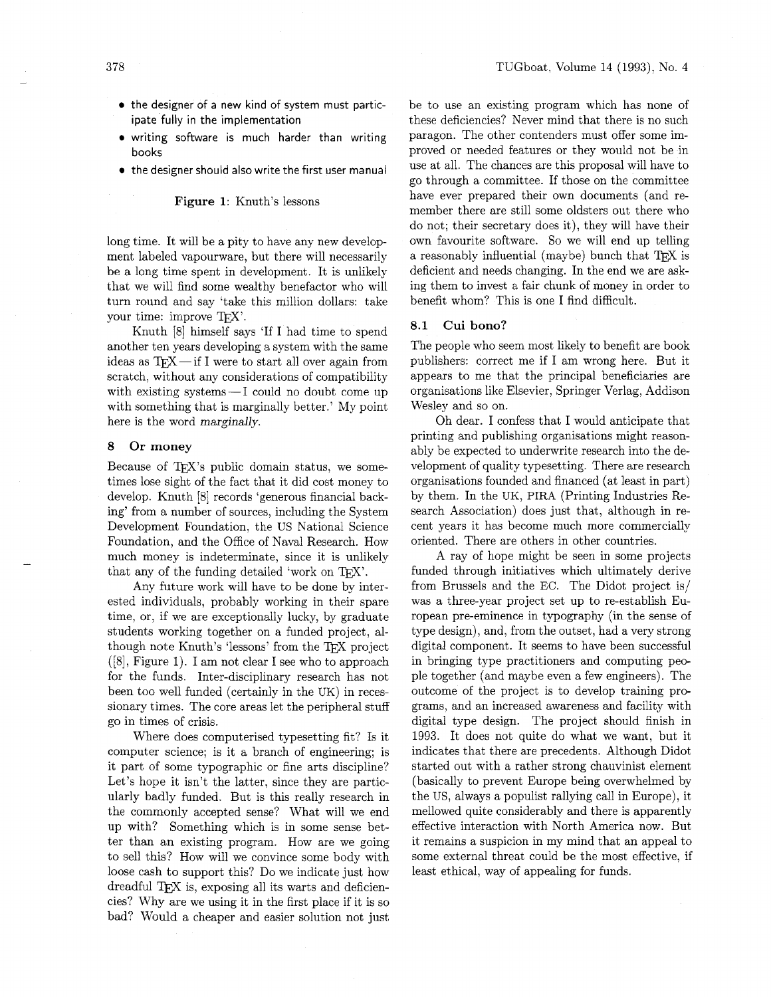- the designer of a new kind of system must participate fully in the implementation
- writing software is much harder than writing books
- the designer should also write the first user manual

#### **Figure 1:** Knuth's lessons

long time. It will be a pity to have any new development labeled vapourware, but there will necessarily be a long time spent in development. It is unlikely that we will find some wealthy benefactor who will turn round and say 'take this million dollars: take your time: improve T<sub>FX</sub>'.

Knuth [8] himself says 'If I had time to spend another ten years developing a system with the same ideas as  $T_FX$  -if I were to start all over again from scratch, without any considerations of compatibility with existing systems $-I$  could no doubt come up with something that is marginally better.' My point here is the word marginally.

#### **8 Or money**

Because of TFX's public domain status, we sometimes lose sight of the fact that it did cost money to develop. Knuth [8] records 'generous financial backing' from a number of sources, including the System Development Foundation, the US National Science Foundation, and the Office of Naval Research. How much money is indeterminate, since it is unlikely that any of the funding detailed 'work on  $T_F X$ '.

Any future work will have to be done by interested individuals, probably working in their spare time, or, if we are exceptionally lucky, by graduate students working together on a funded project, although note Knuth's 'lessons' from the TEX project  $([8],$  Figure 1). I am not clear I see who to approach for the funds. Inter-disciplinary research has not been too well funded (certainly in the UK) in recessionary times. The core areas let the peripheral stuff go in times of crisis.

Where does computerised typesetting fit? Is it computer science; is it a branch of engineering; is it part of some typographic or fine arts discipline? Let's hope it isn't the latter, since they are particularly badly funded. But is this really research in the commonly accepted sense? What will we end up with? Something which is in some sense better than an existing program. How are we going to sell this? How will we convince some body with loose cash to support this? Do we indicate just how dreadful TEX is, exposing all its warts and deficiencies? Why are we using it in the first place if it is so bad? Would a cheaper and easier solution not just

be to use an existing program which has none of these deficiencies? Never mind that there is no such paragon. The other contenders must offer some improved or needed features or they would not be in use at all. The chances are this proposal will have to go through a committee. If those on the committee have ever prepared their own documents (and remember there are still some oldsters out there who do not; their secretary does it), they will have their own favourite software. So we will end up telling a reasonably influential (maybe) bunch that  $T\not\vdash X$  is deficient and needs changing. In the end we are asking them to invest a fair chunk of money in order to benefit whom? This is one I find difficult.

#### **8.1 Cui bono?**

The people who seem most likely to benefit are book publishers: correct me if I am wrong here. But it appears to me that the principal beneficiaries are organisations like Elsevier, Springer Verlag, Addison Wesley and so on.

Oh dear. I confess that I would anticipate that printing and publishing organisations might reasonably be expected to underwrite research into the development of quality typesetting. There are research organisations founded and financed (at least in part) by them. In the UK, PIRA (Printing Industries Research Association) does just that, although in recent years it has become much more commercially oriented. There are others in other countries.

A ray of hope might be seen in some projects funded through initiatives which ultimately derive from Brussels and the EC. The Didot project is/ was a three-year project set up to re-establish European pre-eminence in typography (in the sense of type design), and, from the outset, had a very strong digital component. It seems to have been successful in bringing type practitioners and computing people together (and maybe even a few engineers). The outcome of the project is to develop training programs, and an increased awareness and facility with digital type design. The project should finish in 1993. It does not quite do what we want, but it indicates that there are precedents. Although Didot started out with a rather strong chauvinist element (basically to prevent Europe being overwhelmed by the US, always a populist rallying call in Europe), it mellowed quite considerably and there is apparently effective interaction with North America now. But it remains a suspicion in my mind that an appeal to some external threat could be the most effective, if least ethical, way of appealing for funds.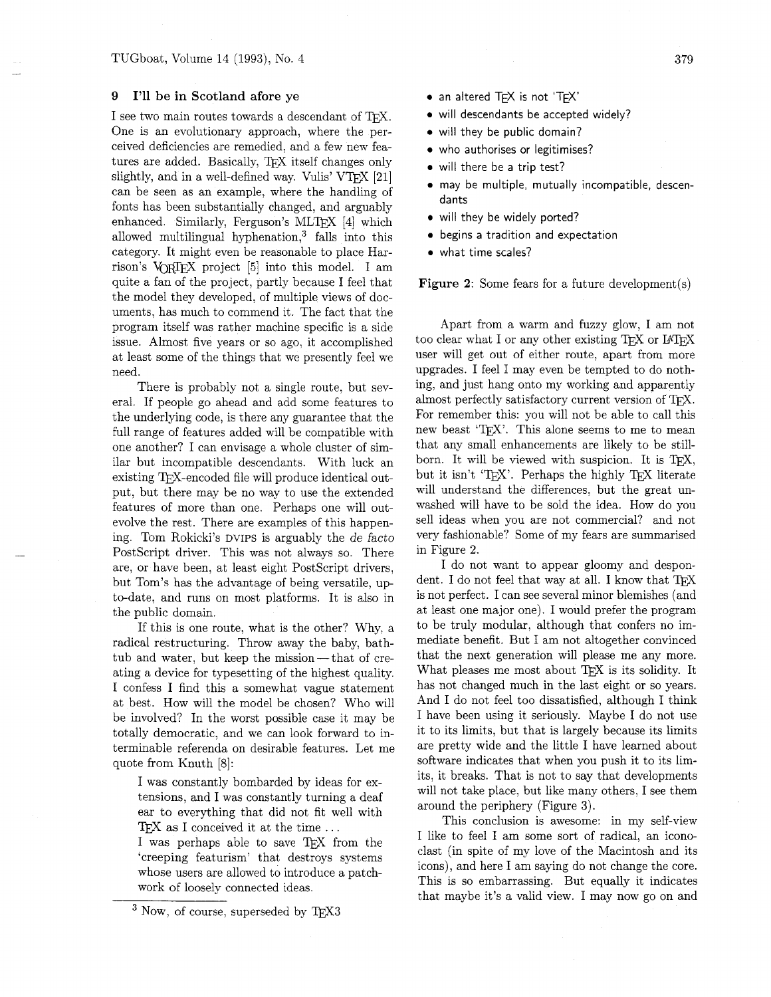#### **9 I'll be in Scotland afore ye**

I see two main routes towards a descendant of TFX. One is an evolutionary approach, where the perceived deficiencies are remedied, and a few new features are added. Basically, TFX itself changes only slightly, and in a well-defined way. Vulis' VT $\vert$ X [21] can be seen as an example, where the handling of fonts has been substantially changed, and arguably enhanced. Similarly, Ferguson's MLTEX [4] which allowed multilingual hyphenation, $3$  falls into this category. It might even be reasonable to place Harrison's VORIEX project [5] into this model. I am quite a fan of the project, partly because I feel that the model they developed, of multiple views of documents, has much to commend it. The fact that the program itself was rather machine specific is a side issue. Almost five years or so ago, it accomplished at least some of the things that we presently feel we need.

There is probably not a single route, but several. If people go ahead and add some features to the underlying code, is there any guarantee that the full range of features added will be compatible with one another? I can envisage a whole cluster of similar but incompatible descendants. With luck an existing T<sub>E</sub>X-encoded file will produce identical output, but there may be no way to use the extended features of more than one. Perhaps one will outevolve the rest. There are examples of this happening. Tom Rokicki's DVIPS is arguably the de facto PostScript driver. This was not always so. There are, or have been, at least eight PostScript drivers, but Tom's has the advantage of being versatile, up to-date, and runs on most platforms. It is also in the public domain.

If this is one route, what is the other? Why, a radical restructuring. Throw away the baby, bathtub and water, but keep the mission — that of creating a device for typesetting of the highest quality. I confess I find this a somewhat vague statement at best. How will the model be chosen? Who will be involved? In the worst possible case it may be totally democratic, and we can look forward to interminable referenda on desirable features. Let me quote from Knuth [8]:

I was constantly bombarded by ideas for extensions, and I was constantly turning a deaf ear to everything that did not fit well with T<sub>E</sub>X as I conceived it at the time  $\dots$ 

I was perhaps able to save TFX from the 'creeping featurism' that destroys systems whose users are allowed to introduce a patchwork of loosely connected ideas.

- an altered TEX is not 'TEX'
- will descendants be accepted widely?
- will they be public domain?
- who authorises or legitimises?
- will there be a trip test?
- may be multiple, mutually incompatible, descendants
- will they be widely ported?
- begins a tradition and expectation
- what time scales?

**Figure 2:** Some fears for a future development(s)

Apart from a warm and fuzzy glow, I am not too clear what I or any other existing TFX or IATFX user will get out of either route, apart from more upgrades. I feel I may even be tempted to do nothing, and just hang onto my working and apparently almost perfectly satisfactory current version of TFX. For remember this: you will not be able to call this new beast 'TFX'. This alone seems to me to mean that any small enhancements are likely to be stillborn. It will be viewed with suspicion. It is TFX, but it isn't 'T $\overline{p}X$ '. Perhaps the highly T $\overline{p}X$  literate will understand the differences, but the great unwashed will have to be sold the idea. How do you sell ideas when you are not commercial? and not very fashionable? Some of my fears are summarised in Figure 2.

I do not want to appear gloomy and despondent. I do not feel that way at all. I know that TEX is not perfect. I can see several minor blemishes (and at least one major one). I would prefer the program to be truly modular, although that confers no immediate benefit. But I am not altogether convinced that the next generation will please me any more. What pleases me most about TEX is its solidity. It has not changed much in the last eight or so years. And I do not feel too dissatisfied, although I think I have been using it seriously. Maybe I do not use it to its limits, but that is largely because its limits are pretty wide and the little I have learned about software indicates that when you push it to its limits, it breaks. That is not to say that developments will not take place, but like many others. I see them around the periphery (Figure 3).

This conclusion is awesome: in my self-view I like to feel I am some sort of radical, an iconoclast (in spite of my love of the Macintosh and its icons), and here I am saying do not change the core. This is so embarrassing. But equally it indicates that maybe it's a valid view. I may now go on and

 $3$  Now, of course, superseded by TEX3